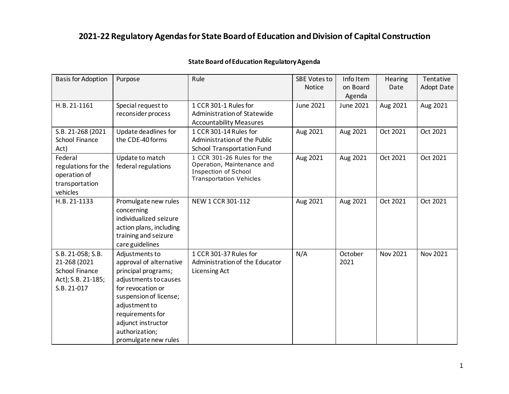| <b>Basis for Adoption</b>                                                                | Purpose                                                                                                                                                                                                                                       | Rule                                                                                                                      | <b>SBE Votes to</b><br><b>Notice</b> | Info Item<br>on Board<br>Agenda | Hearing<br>Date | Tentative<br><b>Adopt Date</b> |
|------------------------------------------------------------------------------------------|-----------------------------------------------------------------------------------------------------------------------------------------------------------------------------------------------------------------------------------------------|---------------------------------------------------------------------------------------------------------------------------|--------------------------------------|---------------------------------|-----------------|--------------------------------|
| H.B. 21-1161                                                                             | Special request to<br>reconsider process                                                                                                                                                                                                      | 1 CCR 301-1 Rules for<br>Administration of Statewide<br><b>Accountability Measures</b>                                    | June 2021                            | June 2021                       | Aug 2021        | Aug 2021                       |
| S.B. 21-268 (2021<br>School Finance<br>Act)                                              | Update deadlines for<br>the CDE-40 forms                                                                                                                                                                                                      | 1 CCR 301-14 Rules for<br>Administration of the Public<br>School Transportation Fund                                      | Aug 2021                             | Aug 2021                        | Oct 2021        | Oct 2021                       |
| Federal<br>regulations for the<br>operation of<br>transportation<br>vehicles             | Update to match<br>federal regulations                                                                                                                                                                                                        | 1 CCR 301-26 Rules for the<br>Operation, Maintenance and<br><b>Inspection of School</b><br><b>Transportation Vehicles</b> | Aug 2021                             | Aug 2021                        | Oct 2021        | Oct 2021                       |
| H.B. 21-1133                                                                             | Promulgate new rules<br>concerning<br>individualized seizure<br>action plans, including<br>training and seizure<br>care guidelines                                                                                                            | NEW 1 CCR 301-112                                                                                                         | Aug 2021                             | Aug 2021                        | Oct 2021        | Oct 2021                       |
| S.B. 21-058; S.B.<br>21-268 (2021<br>School Finance<br>Act); S.B. 21-185;<br>S.B. 21-017 | Adjustments to<br>approval of alternative<br>principal programs;<br>adjustments to causes<br>for revocation or<br>suspension of license;<br>adjustment to<br>requirements for<br>adjunct instructor<br>authorization;<br>promulgate new rules | 1 CCR 301-37 Rules for<br>Administration of the Educator<br><b>Licensing Act</b>                                          | N/A                                  | October<br>2021                 | Nov 2021        | Nov 2021                       |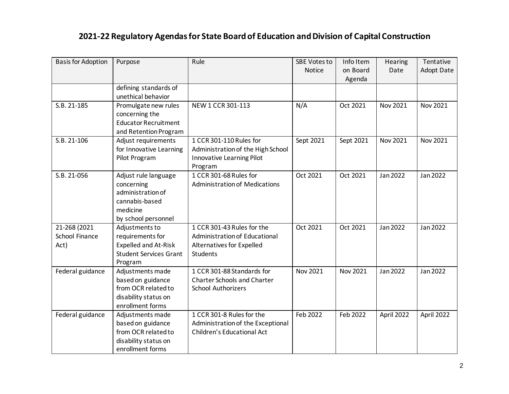| <b>Basis for Adoption</b> | Purpose                       | Rule                                 | <b>SBE Votes to</b> | Info Item | Hearing         | Tentative         |
|---------------------------|-------------------------------|--------------------------------------|---------------------|-----------|-----------------|-------------------|
|                           |                               |                                      | <b>Notice</b>       | on Board  | Date            | <b>Adopt Date</b> |
|                           |                               |                                      |                     | Agenda    |                 |                   |
|                           | defining standards of         |                                      |                     |           |                 |                   |
|                           | unethical behavior            |                                      |                     |           |                 |                   |
| S.B. 21-185               | Promulgate new rules          | NEW 1 CCR 301-113                    | N/A                 | Oct 2021  | Nov 2021        | Nov 2021          |
|                           | concerning the                |                                      |                     |           |                 |                   |
|                           | <b>Educator Recruitment</b>   |                                      |                     |           |                 |                   |
|                           | and Retention Program         |                                      |                     |           |                 |                   |
| $S.B. 21-106$             | Adjust requirements           | 1 CCR 301-110 Rules for              | Sept 2021           | Sept 2021 | <b>Nov 2021</b> | <b>Nov 2021</b>   |
|                           | for Innovative Learning       | Administration of the High School    |                     |           |                 |                   |
|                           | Pilot Program                 | Innovative Learning Pilot            |                     |           |                 |                   |
|                           |                               | Program                              |                     |           |                 |                   |
| S.B. 21-056               | Adjust rule language          | 1 CCR 301-68 Rules for               | Oct 2021            | Oct 2021  | Jan 2022        | Jan 2022          |
|                           | concerning                    | <b>Administration of Medications</b> |                     |           |                 |                   |
|                           | administration of             |                                      |                     |           |                 |                   |
|                           | cannabis-based                |                                      |                     |           |                 |                   |
|                           | medicine                      |                                      |                     |           |                 |                   |
|                           | by school personnel           |                                      |                     |           |                 |                   |
| 21-268 (2021              | Adjustments to                | 1 CCR 301-43 Rules for the           | Oct 2021            | Oct 2021  | Jan 2022        | Jan 2022          |
| School Finance            | requirements for              | Administration of Educational        |                     |           |                 |                   |
| Act)                      | <b>Expelled and At-Risk</b>   | Alternatives for Expelled            |                     |           |                 |                   |
|                           | <b>Student Services Grant</b> | <b>Students</b>                      |                     |           |                 |                   |
|                           | Program                       |                                      |                     |           |                 |                   |
| Federal guidance          | Adjustments made              | 1 CCR 301-88 Standards for           | Nov 2021            | Nov 2021  | Jan 2022        | Jan 2022          |
|                           | based on guidance             | <b>Charter Schools and Charter</b>   |                     |           |                 |                   |
|                           | from OCR related to           | <b>School Authorizers</b>            |                     |           |                 |                   |
|                           | disability status on          |                                      |                     |           |                 |                   |
|                           | enrollment forms              |                                      |                     |           |                 |                   |
| Federal guidance          | Adjustments made              | 1 CCR 301-8 Rules for the            | Feb 2022            | Feb 2022  | April 2022      | April 2022        |
|                           | based on guidance             | Administration of the Exceptional    |                     |           |                 |                   |
|                           | from OCR related to           | Children's Educational Act           |                     |           |                 |                   |
|                           | disability status on          |                                      |                     |           |                 |                   |
|                           | enrollment forms              |                                      |                     |           |                 |                   |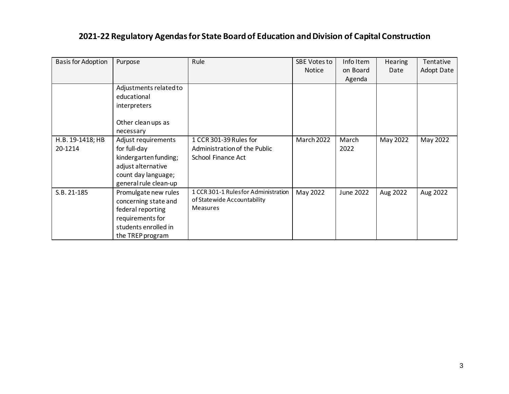| <b>Basis for Adoption</b> | Purpose                | Rule                                | <b>SBE Votes to</b> | Info Item | <b>Hearing</b> | Tentative         |
|---------------------------|------------------------|-------------------------------------|---------------------|-----------|----------------|-------------------|
|                           |                        |                                     | <b>Notice</b>       | on Board  | Date           | <b>Adopt Date</b> |
|                           |                        |                                     |                     | Agenda    |                |                   |
|                           | Adjustments related to |                                     |                     |           |                |                   |
|                           | educational            |                                     |                     |           |                |                   |
|                           | interpreters           |                                     |                     |           |                |                   |
|                           | Other cleanups as      |                                     |                     |           |                |                   |
|                           | necessary              |                                     |                     |           |                |                   |
| H.B. 19-1418; HB          | Adjust requirements    | 1 CCR 301-39 Rules for              | March 2022          | March     | May 2022       | May 2022          |
| 20-1214                   | for full-day           | Administration of the Public        |                     | 2022      |                |                   |
|                           | kindergarten funding;  | School Finance Act                  |                     |           |                |                   |
|                           | adjust alternative     |                                     |                     |           |                |                   |
|                           | count day language;    |                                     |                     |           |                |                   |
|                           | general rule clean-up  |                                     |                     |           |                |                   |
| S.B. 21-185               | Promulgate new rules   | 1 CCR 301-1 Rulesfor Administration | May 2022            | June 2022 | Aug 2022       | Aug 2022          |
|                           | concerning state and   | of Statewide Accountability         |                     |           |                |                   |
|                           | federal reporting      | Measures                            |                     |           |                |                   |
|                           | requirements for       |                                     |                     |           |                |                   |
|                           | students enrolled in   |                                     |                     |           |                |                   |
|                           | the TREP program       |                                     |                     |           |                |                   |